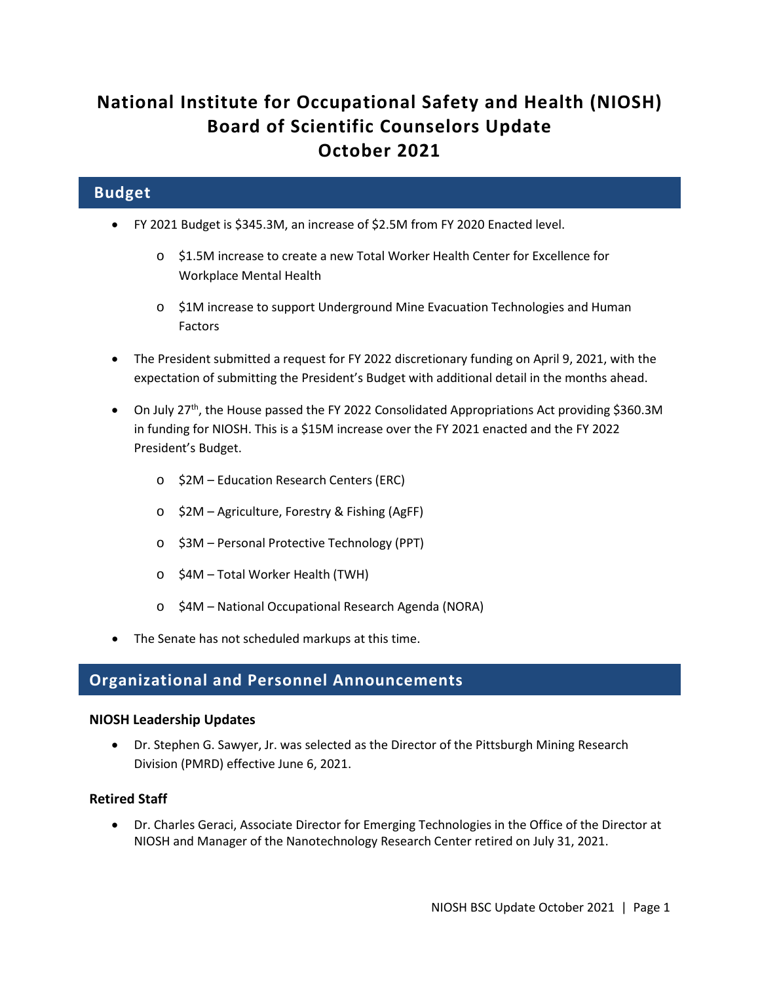# **National Institute for Occupational Safety and Health (NIOSH) Board of Scientific Counselors Update October 2021**

# **Budget**

- FY 2021 Budget is \$345.3M, an increase of \$2.5M from FY 2020 Enacted level.
	- o \$1.5M increase to create a new Total Worker Health Center for Excellence for Workplace Mental Health
	- o \$1M increase to support Underground Mine Evacuation Technologies and Human Factors
- The President submitted a request for FY 2022 discretionary funding on April 9, 2021, with the expectation of submitting the President's Budget with additional detail in the months ahead.
- On July 27<sup>th</sup>, the House passed the FY 2022 Consolidated Appropriations Act providing \$360.3M in funding for NIOSH. This is a \$15M increase over the FY 2021 enacted and the FY 2022 President's Budget.
	- o \$2M Education Research Centers (ERC)
	- o \$2M Agriculture, Forestry & Fishing (AgFF)
	- o \$3M Personal Protective Technology (PPT)
	- o \$4M Total Worker Health (TWH)
	- o \$4M National Occupational Research Agenda (NORA)
- The Senate has not scheduled markups at this time.

# **Organizational and Personnel Announcements**

#### **NIOSH Leadership Updates**

• Dr. Stephen G. Sawyer, Jr. was selected as the Director of the Pittsburgh Mining Research Division (PMRD) effective June 6, 2021.

#### **Retired Staff**

• Dr. Charles Geraci, Associate Director for Emerging Technologies in the Office of the Director at NIOSH and Manager of the Nanotechnology Research Center retired on July 31, 2021.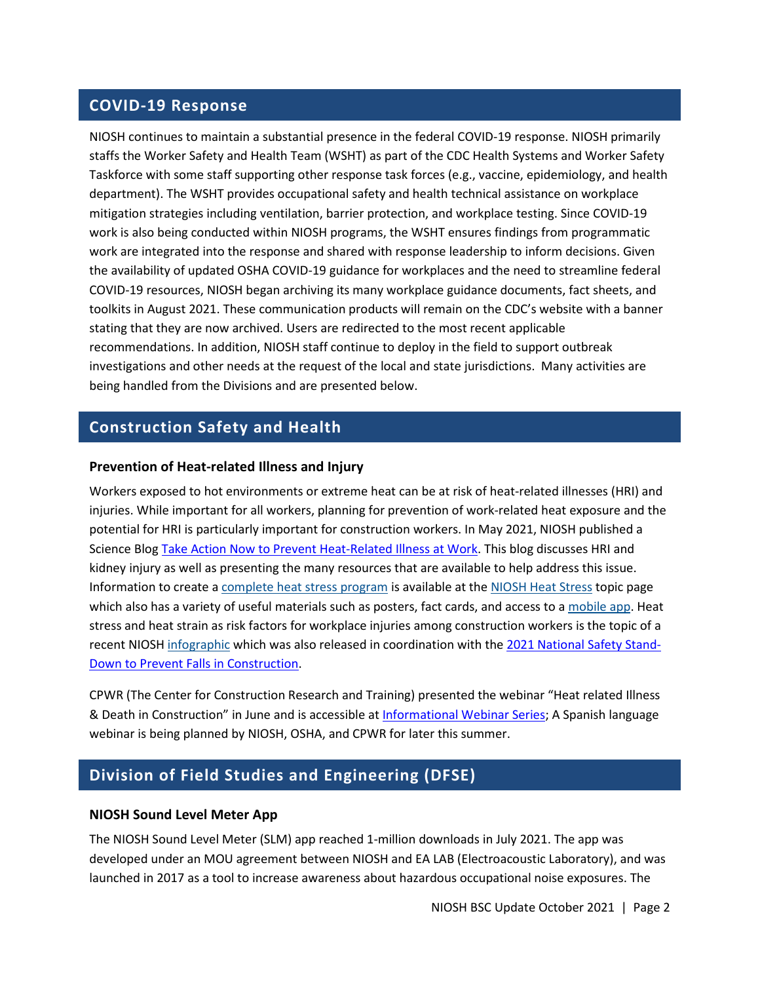## **COVID-19 Response**

NIOSH continues to maintain a substantial presence in the federal COVID-19 response. NIOSH primarily staffs the Worker Safety and Health Team (WSHT) as part of the CDC Health Systems and Worker Safety Taskforce with some staff supporting other response task forces (e.g., vaccine, epidemiology, and health department). The WSHT provides occupational safety and health technical assistance on workplace mitigation strategies including ventilation, barrier protection, and workplace testing. Since COVID-19 work is also being conducted within NIOSH programs, the WSHT ensures findings from programmatic work are integrated into the response and shared with response leadership to inform decisions. Given the availability of updated OSHA COVID-19 guidance for workplaces and the need to streamline federal COVID-19 resources, NIOSH began archiving its many workplace guidance documents, fact sheets, and toolkits in August 2021. These communication products will remain on the CDC's website with a banner stating that they are now archived. Users are redirected to the most recent applicable recommendations. In addition, NIOSH staff continue to deploy in the field to support outbreak investigations and other needs at the request of the local and state jurisdictions. Many activities are being handled from the Divisions and are presented below.

## **Construction Safety and Health**

#### **Prevention of Heat-related Illness and Injury**

Workers exposed to hot environments or extreme heat can be at risk of heat-related illnesses (HRI) and injuries. While important for all workers, planning for prevention of work-related heat exposure and the potential for HRI is particularly important for construction workers. In May 2021, NIOSH published a Science Blog [Take Action Now to Prevent Heat-Related Illness at Work.](https://blogs.cdc.gov/niosh-science-blog/2021/05/07/heat-stress-2021/) This blog discusses HRI and kidney injury as well as presenting the many resources that are available to help address this issue. Information to create [a complete heat stress program](https://www.cdc.gov/niosh/topics/heatstress/recommendations.html) is available at the [NIOSH Heat Stress](https://www.cdc.gov/niosh/topics/heatstress/default.html) topic page which also has a variety of useful materials such as posters, fact cards, and access to a [mobile app.](https://www.cdc.gov/niosh/topics/heatstress/heatapp.html) Heat stress and heat strain as risk factors for workplace injuries among construction workers is the topic of a recent NIOSH [infographic](https://www.cpwr.com/wp-content/uploads/Extreme-Heat-and-Construction-Falls-infographic.pdf) which was also released in coordination with the [2021 National Safety Stand-](http://stopconstructionfalls.com/)[Down to Prevent Falls in Construction.](http://stopconstructionfalls.com/)

CPWR (The Center for Construction Research and Training) presented the webinar "Heat related Illness & Death in Construction" in June and is accessible at [Informational Webinar Series;](https://www.cpwr.com/news-and-events/informational-webinar-series/) A Spanish language webinar is being planned by NIOSH, OSHA, and CPWR for later this summer.

# **Division of Field Studies and Engineering (DFSE)**

#### **NIOSH Sound Level Meter App**

The NIOSH Sound Level Meter (SLM) app reached 1-million downloads in July 2021. The app was developed under an MOU agreement between NIOSH and EA LAB (Electroacoustic Laboratory), and was launched in 2017 as a tool to increase awareness about hazardous occupational noise exposures. The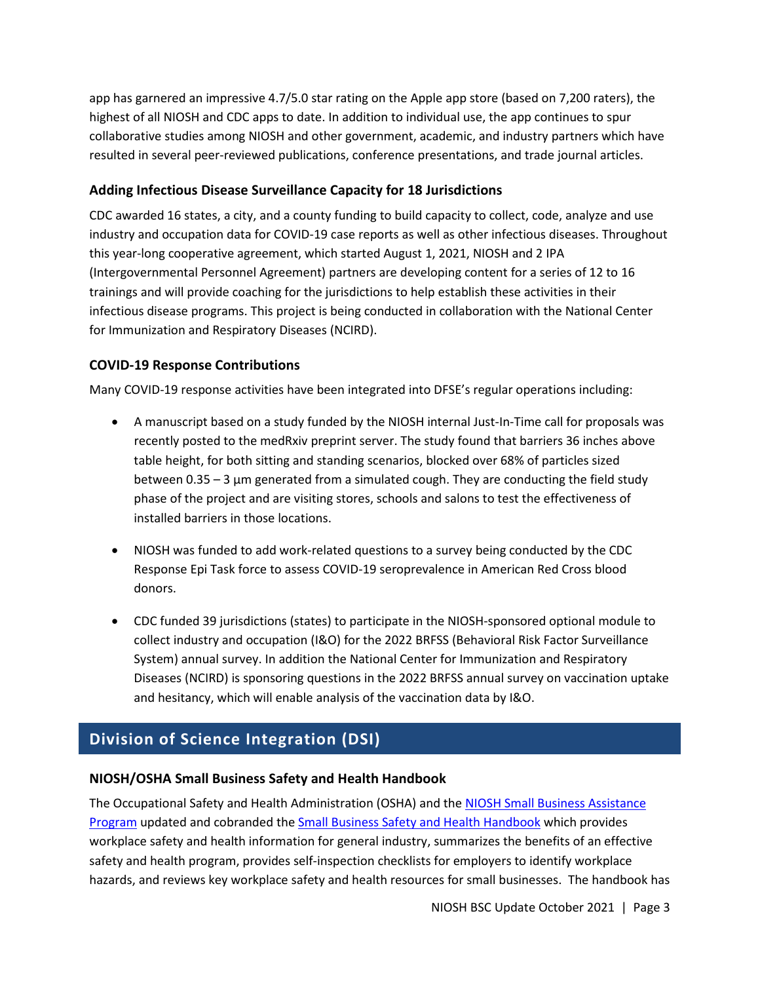app has garnered an impressive 4.7/5.0 star rating on the Apple app store (based on 7,200 raters), the highest of all NIOSH and CDC apps to date. In addition to individual use, the app continues to spur collaborative studies among NIOSH and other government, academic, and industry partners which have resulted in several peer-reviewed publications, conference presentations, and trade journal articles.

### **Adding Infectious Disease Surveillance Capacity for 18 Jurisdictions**

CDC awarded 16 states, a city, and a county funding to build capacity to collect, code, analyze and use industry and occupation data for COVID-19 case reports as well as other infectious diseases. Throughout this year-long cooperative agreement, which started August 1, 2021, NIOSH and 2 IPA (Intergovernmental Personnel Agreement) partners are developing content for a series of 12 to 16 trainings and will provide coaching for the jurisdictions to help establish these activities in their infectious disease programs. This project is being conducted in collaboration with the National Center for Immunization and Respiratory Diseases (NCIRD).

### **COVID-19 Response Contributions**

Many COVID-19 response activities have been integrated into DFSE's regular operations including:

- A manuscript based on a study funded by the NIOSH internal Just-In-Time call for proposals was recently posted to the medRxiv preprint server. The study found that barriers 36 inches above table height, for both sitting and standing scenarios, blocked over 68% of particles sized between  $0.35 - 3$  µm generated from a simulated cough. They are conducting the field study phase of the project and are visiting stores, schools and salons to test the effectiveness of installed barriers in those locations.
- NIOSH was funded to add work-related questions to a survey being conducted by the CDC Response Epi Task force to assess COVID-19 seroprevalence in American Red Cross blood donors.
- CDC funded 39 jurisdictions (states) to participate in the NIOSH-sponsored optional module to collect industry and occupation (I&O) for the 2022 BRFSS (Behavioral Risk Factor Surveillance System) annual survey. In addition the National Center for Immunization and Respiratory Diseases (NCIRD) is sponsoring questions in the 2022 BRFSS annual survey on vaccination uptake and hesitancy, which will enable analysis of the vaccination data by I&O.

# **Division of Science Integration (DSI)**

#### **NIOSH/OSHA Small Business Safety and Health Handbook**

The Occupational Safety and Health Administration (OSHA) and the [NIOSH Small Business Assistance](https://www.cdc.gov/niosh/programs/sba/default.html)  [Program](https://www.cdc.gov/niosh/programs/sba/default.html) updated and cobranded the [Small Business Safety and Health Handbook](https://www.osha.gov/sites/default/files/publications/small-business.pdf) which provides workplace safety and health information for general industry, summarizes the benefits of an effective safety and health program, provides self-inspection checklists for employers to identify workplace hazards, and reviews key workplace safety and health resources for small businesses. The handbook has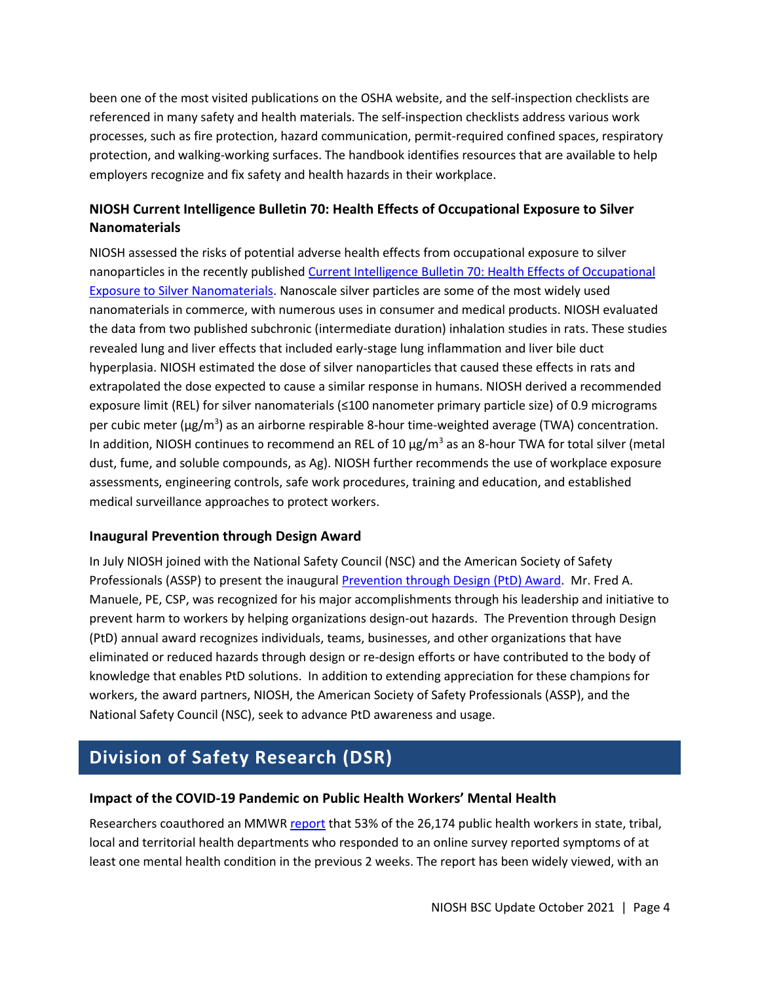been one of the most visited publications on the OSHA website, and the self-inspection checklists are referenced in many safety and health materials. The self-inspection checklists address various work processes, such as fire protection, hazard communication, permit-required confined spaces, respiratory protection, and walking-working surfaces. The handbook identifies resources that are available to help employers recognize and fix safety and health hazards in their workplace.

### **NIOSH Current Intelligence Bulletin 70: Health Effects of Occupational Exposure to Silver Nanomaterials**

NIOSH assessed the risks of potential adverse health effects from occupational exposure to silver nanoparticles in the recently publishe[d Current Intelligence Bulletin 70: Health Effects of Occupational](https://www.cdc.gov/niosh/docs/2021-112/)  [Exposure to Silver Nanomaterials.](https://www.cdc.gov/niosh/docs/2021-112/) Nanoscale silver particles are some of the most widely used nanomaterials in commerce, with numerous uses in consumer and medical products. NIOSH evaluated the data from two published subchronic (intermediate duration) inhalation studies in rats. These studies revealed lung and liver effects that included early-stage lung inflammation and liver bile duct hyperplasia. NIOSH estimated the dose of silver nanoparticles that caused these effects in rats and extrapolated the dose expected to cause a similar response in humans. NIOSH derived a recommended exposure limit (REL) for silver nanomaterials (≤100 nanometer primary particle size) of 0.9 micrograms per cubic meter (µg/m<sup>3</sup>) as an airborne respirable 8-hour time-weighted average (TWA) concentration. In addition, NIOSH continues to recommend an REL of 10  $\mu$ g/m<sup>3</sup> as an 8-hour TWA for total silver (metal dust, fume, and soluble compounds, as Ag). NIOSH further recommends the use of workplace exposure assessments, engineering controls, safe work procedures, training and education, and established medical surveillance approaches to protect workers.

### **Inaugural Prevention through Design Award**

In July NIOSH joined with the National Safety Council (NSC) and the American Society of Safety Professionals (ASSP) to present the inaugural [Prevention through Design \(PtD\) Award.](https://www.cdc.gov/niosh/updates/upd-07-14-21.html) Mr. Fred A. Manuele, PE, CSP, was recognized for his major accomplishments through his leadership and initiative to prevent harm to workers by helping organizations design-out hazards. The Prevention through Design (PtD) annual award recognizes individuals, teams, businesses, and other organizations that have eliminated or reduced hazards through design or re-design efforts or have contributed to the body of knowledge that enables PtD solutions. In addition to extending appreciation for these champions for workers, the award partners, NIOSH, the American Society of Safety Professionals (ASSP), and the National Safety Council (NSC), seek to advance PtD awareness and usage.

# **Division of Safety Research (DSR)**

### **Impact of the COVID-19 Pandemic on Public Health Workers' Mental Health**

Researchers coauthored an MMWR [report](https://www.cdc.gov/mmwr/volumes/70/wr/mm7026e1.htm?s_cid=mm7026e1_w) that 53% of the 26,174 public health workers in state, tribal, local and territorial health departments who responded to an online survey reported symptoms of at least one mental health condition in the previous 2 weeks. The report has been widely viewed, with an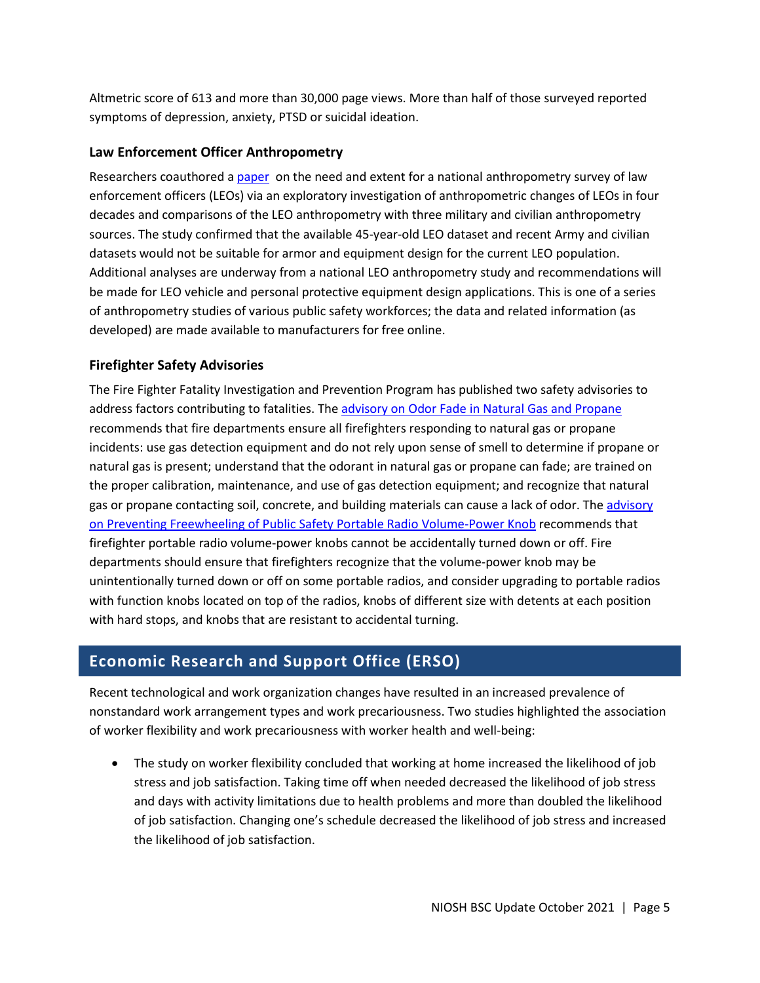Altmetric score of 613 and more than 30,000 page views. More than half of those surveyed reported symptoms of depression, anxiety, PTSD or suicidal ideation.

### **Law Enforcement Officer Anthropometry**

Researchers coauthored a [paper](https://www2a.cdc.gov/nioshtic-2/BuildQyr.asp?s1=DSR&f1=%2A&Startyear=&Adv=0&terms=1&EndYear=&Limit=10000&sort=&D1=10&PageNo=2&RecNo=11&View=f&) on the need and extent for a national anthropometry survey of law enforcement officers (LEOs) via an exploratory investigation of anthropometric changes of LEOs in four decades and comparisons of the LEO anthropometry with three military and civilian anthropometry sources. The study confirmed that the available 45-year-old LEO dataset and recent Army and civilian datasets would not be suitable for armor and equipment design for the current LEO population. Additional analyses are underway from a national LEO anthropometry study and recommendations will be made for LEO vehicle and personal protective equipment design applications. This is one of a series of anthropometry studies of various public safety workforces; the data and related information (as developed) are made available to manufacturers for free online.

### **Firefighter Safety Advisories**

The Fire Fighter Fatality Investigation and Prevention Program has published two safety advisories to address factors contributing to fatalities. The [advisory on Odor Fade in Natural Gas and Propane](https://www.cdc.gov/niosh/docs/2021-106/) recommends that fire departments ensure all firefighters responding to natural gas or propane incidents: use gas detection equipment and do not rely upon sense of smell to determine if propane or natural gas is present; understand that the odorant in natural gas or propane can fade; are trained on the proper calibration, maintenance, and use of gas detection equipment; and recognize that natural gas or propane contacting soil, concrete, and building materials can cause a lack of odor. The advisory [on Preventing Freewheeling of Public Safety Portable Radio Volume-Power Knob](https://www.cdc.gov/niosh/docs/2021-117/) recommends that firefighter portable radio volume-power knobs cannot be accidentally turned down or off. Fire departments should ensure that firefighters recognize that the volume-power knob may be unintentionally turned down or off on some portable radios, and consider upgrading to portable radios with function knobs located on top of the radios, knobs of different size with detents at each position with hard stops, and knobs that are resistant to accidental turning.

### **Economic Research and Support Office (ERSO)**

Recent technological and work organization changes have resulted in an increased prevalence of nonstandard work arrangement types and work precariousness. Two studies highlighted the association of worker flexibility and work precariousness with worker health and well-being:

• The study on [worker flexibility](https://www.mdpi.com/1660-4601/18/6/3254) concluded that working at home increased the likelihood of job stress and job satisfaction. Taking time off when needed decreased the likelihood of job stress and days with activity limitations due to health problems and more than doubled the likelihood of job satisfaction. Changing one's schedule decreased the likelihood of job stress and increased the likelihood of job satisfaction.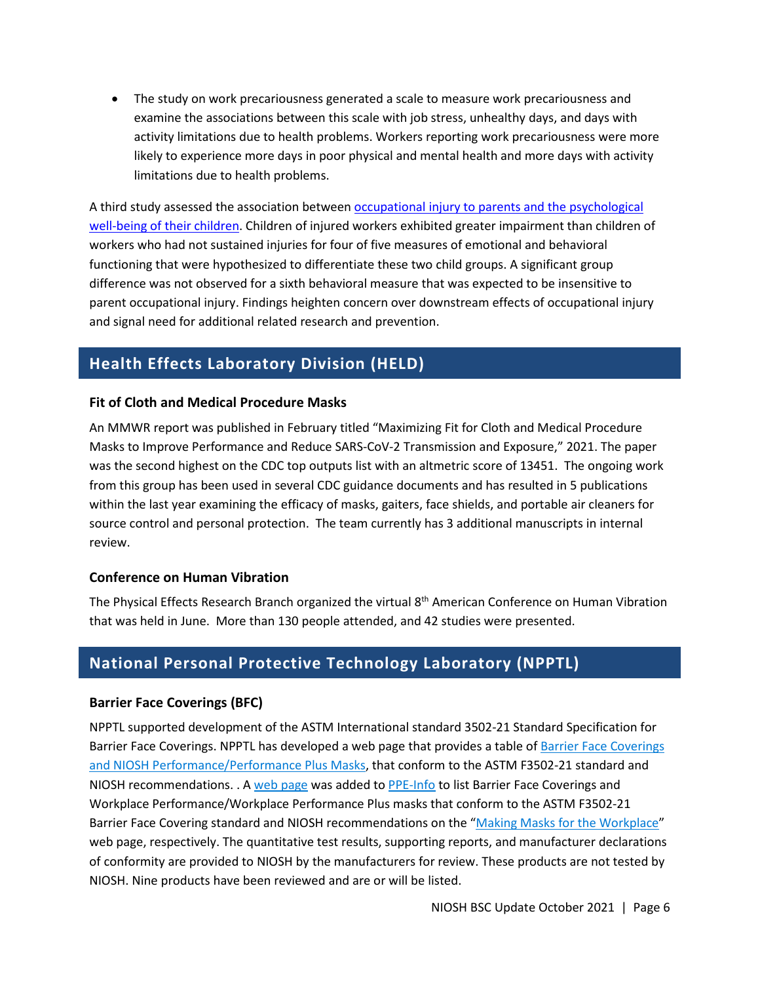• The study on [work precariousness](https://onlinelibrary.wiley.com/doi/10.1002/ajim.23223) generated a scale to measure work precariousness and examine the associations between this scale with job stress, unhealthy days, and days with activity limitations due to health problems. Workers reporting work precariousness were more likely to experience more days in poor physical and mental health and more days with activity limitations due to health problems.

A third study assessed the association between occupational injury to parents and the psychological [well-being of their children.](https://doi.org/10.1097/JOM.0000000000002249) Children of injured workers exhibited greater impairment than children of workers who had not sustained injuries for four of five measures of emotional and behavioral functioning that were hypothesized to differentiate these two child groups. A significant group difference was not observed for a sixth behavioral measure that was expected to be insensitive to parent occupational injury. Findings heighten concern over downstream effects of occupational injury and signal need for additional related research and prevention.

# **Health Effects Laboratory Division (HELD)**

#### **Fit of Cloth and Medical Procedure Masks**

An MMWR report was published in February titled "Maximizing Fit for Cloth and Medical Procedure Masks to Improve Performance and Reduce SARS-CoV-2 Transmission and Exposure," 2021. The paper was the second highest on the CDC top outputs list with an altmetric score of 13451. The ongoing work from this group has been used in several CDC guidance documents and has resulted in 5 publications within the last year examining the efficacy of masks, gaiters, face shields, and portable air cleaners for source control and personal protection. The team currently has 3 additional manuscripts in internal review.

#### **Conference on Human Vibration**

The Physical Effects Research Branch organized the virtual 8<sup>th</sup> American Conference on Human Vibration that was held in June. More than 130 people attended, and 42 studies were presented.

# **National Personal Protective Technology Laboratory (NPPTL)**

#### **Barrier Face Coverings (BFC)**

NPPTL supported development of the ASTM International standard 3502-21 Standard Specification for Barrier Face Coverings. NPPTL has developed a web page that provides a table o[f Barrier Face Coverings](https://wwwn.cdc.gov/PPEInfo/RG/FaceCoverings)  [and NIOSH Performance/Performance Plus Masks,](https://wwwn.cdc.gov/PPEInfo/RG/FaceCoverings) that conform to the ASTM F3502-21 standard and NIOSH recommendations. . A [web page](https://wwwn.cdc.gov/PPEInfo/RG/FaceCoverings) was added to [PPE-Info](https://wwwn.cdc.gov/PPEInfo/) to list Barrier Face Coverings and Workplace Performance/Workplace Performance Plus masks that conform to the ASTM F3502-21 Barrier Face Covering standard and NIOSH recommendations on the ["Making Masks for the Workplace"](https://www.cdc.gov/niosh/topics/emres/pandemic/default.html) web page, respectively. The quantitative test results, supporting reports, and manufacturer declarations of conformity are provided to NIOSH by the manufacturers for review. These products are not tested by NIOSH. Nine products have been reviewed and are or will be listed.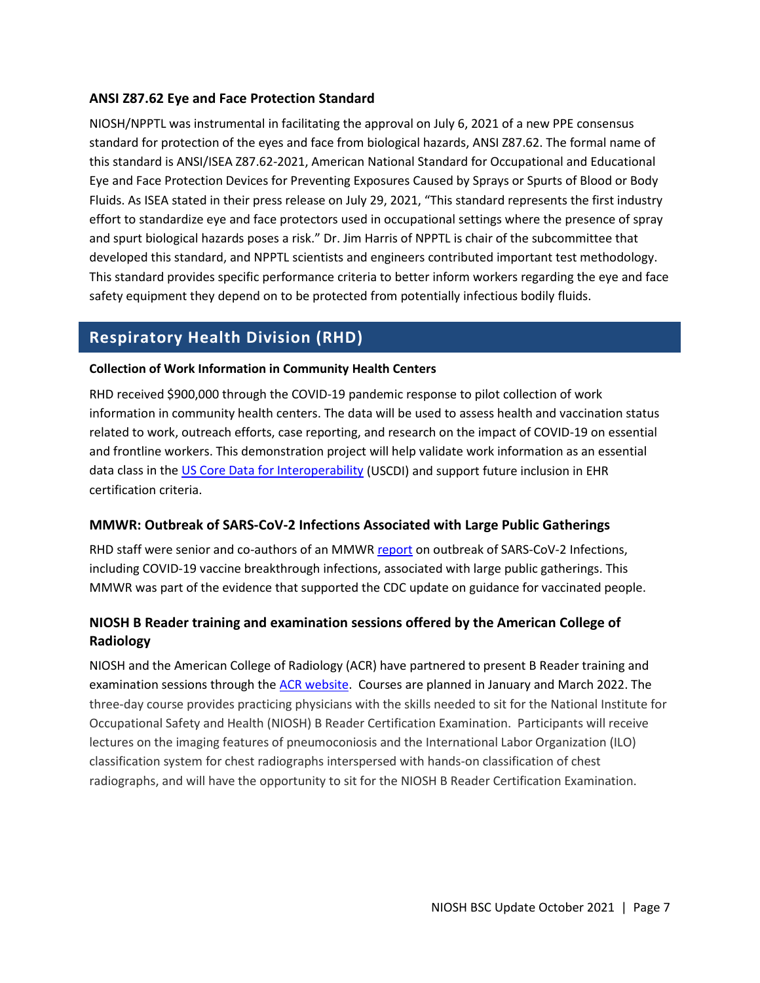#### **ANSI Z87.62 Eye and Face Protection Standard**

NIOSH/NPPTL was instrumental in facilitating the approval on July 6, 2021 of a new PPE consensus standard for protection of the eyes and face from biological hazards, ANSI Z87.62. The formal name of this standard is ANSI/ISEA Z87.62-2021, American National Standard for Occupational and Educational Eye and Face Protection Devices for Preventing Exposures Caused by Sprays or Spurts of Blood or Body Fluids. As ISEA stated in their press release on July 29, 2021, "This standard represents the first industry effort to standardize eye and face protectors used in occupational settings where the presence of spray and spurt biological hazards poses a risk." Dr. Jim Harris of NPPTL is chair of the subcommittee that developed this standard, and NPPTL scientists and engineers contributed important test methodology. This standard provides specific performance criteria to better inform workers regarding the eye and face safety equipment they depend on to be protected from potentially infectious bodily fluids.

## **Respiratory Health Division (RHD)**

#### **Collection of Work Information in Community Health Centers**

RHD received \$900,000 through the COVID-19 pandemic response to pilot collection of work information in community health centers. The data will be used to assess health and vaccination status related to work, outreach efforts, case reporting, and research on the impact of COVID-19 on essential and frontline workers. This demonstration project will help validate work information as an essential data class in the [US Core Data for Interoperability](https://www.healthit.gov/isa/united-states-core-data-interoperability-uscdi#blocktabs-uscdi_data_class_element_list-4) (USCDI) and support future inclusion in EHR certification criteria.

#### **MMWR: Outbreak of SARS-CoV-2 Infections Associated with Large Public Gatherings**

RHD staff were senior and co-authors of an MMWR [report](https://www.cdc.gov/mmwr/volumes/70/wr/mm7031e2.htm?s_cid=mm7031e2_w) on outbreak of SARS-CoV-2 Infections, including COVID-19 vaccine breakthrough infections, associated with large public gatherings. This MMWR was part of the evidence that supported the CDC update on guidance for vaccinated people.

### **NIOSH B Reader training and examination sessions offered by the American College of Radiology**

NIOSH and the American College of Radiology (ACR) have partnered to present B Reader training and examination sessions through the [ACR website.](https://www.acr.org/Lifelong-Learning-and-CME/Education-Center/NIOSH-B-Reader) Courses are planned in January and March 2022. The three-day course provides practicing physicians with the skills needed to sit for the National Institute for Occupational Safety and Health (NIOSH) B Reader Certification Examination. Participants will receive lectures on the imaging features of pneumoconiosis and the International Labor Organization (ILO) classification system for chest radiographs interspersed with hands-on classification of chest radiographs, and will have the opportunity to sit for the NIOSH B Reader Certification Examination.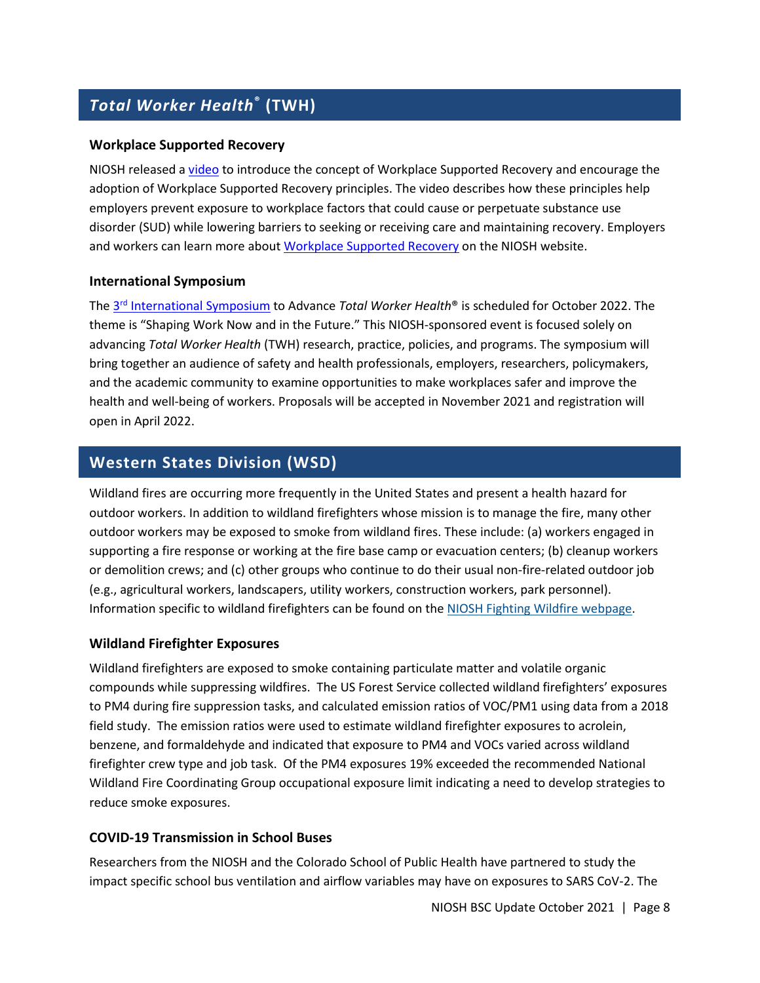# *Total Worker Health***® (TWH)**

#### **Workplace Supported Recovery**

NIOSH released a [video](https://youtu.be/qKisU5tb69Y) to introduce the concept of Workplace Supported Recovery and encourage the adoption of Workplace Supported Recovery principles. The video describes how these principles help employers prevent exposure to workplace factors that could cause or perpetuate substance use disorder (SUD) while lowering barriers to seeking or receiving care and maintaining recovery. Employers and workers can learn more abou[t Workplace Supported Recovery](https://www.cdc.gov/niosh/topics/opioids/wsrp/default.html) on the NIOSH website.

#### **International Symposium**

The 3rd [International Symposium](https://web.cvent.com/event/a2843014-6c6c-4d37-b791-4e8019459eac/summary) to Advance *Total Worker Health*® is scheduled for October 2022. The theme is "Shaping Work Now and in the Future." This NIOSH-sponsored event is focused solely on advancing *Total Worker Health* (TWH) research, practice, policies, and programs. The symposium will bring together an audience of safety and health professionals, employers, researchers, policymakers, and the academic community to examine opportunities to make workplaces safer and improve the health and well-being of workers. Proposals will be accepted in November 2021 and registration will open in April 2022.

### **Western States Division (WSD)**

Wildland fires are occurring more frequently in the United States and present a health hazard for outdoor workers. In addition to wildland firefighters whose mission is to manage the fire, many other outdoor workers may be exposed to smoke from wildland fires. These include: (a) workers engaged in supporting a fire response or working at the fire base camp or evacuation centers; (b) cleanup workers or demolition crews; and (c) other groups who continue to do their usual non-fire-related outdoor job (e.g., agricultural workers, landscapers, utility workers, construction workers, park personnel). Information specific to wildland firefighters can be found on the [NIOSH Fighting Wildfire webpage.](https://www.cdc.gov/niosh/topics/firefighting/default.html)

#### **Wildland Firefighter Exposures**

Wildland firefighters are exposed to smoke containing particulate matter and volatile organic compounds while suppressing wildfires. The US Forest Service collected wildland firefighters' exposures to PM4 during fire suppression tasks, and calculated emission ratios of VOC/PM1 using data from a 2018 field study. The emission ratios were used to estimate wildland firefighter exposures to acrolein, benzene, and formaldehyde and indicated that exposure to PM4 and VOCs varied across wildland firefighter crew type and job task. Of the PM4 exposures 19% exceeded the recommended National Wildland Fire Coordinating Group occupational exposure limit indicating a need to develop strategies to reduce smoke exposures.

#### **COVID-19 Transmission in School Buses**

Researchers from the NIOSH and the Colorado School of Public Health have partnered to study the impact specific school bus ventilation and airflow variables may have on exposures to SARS CoV-2. The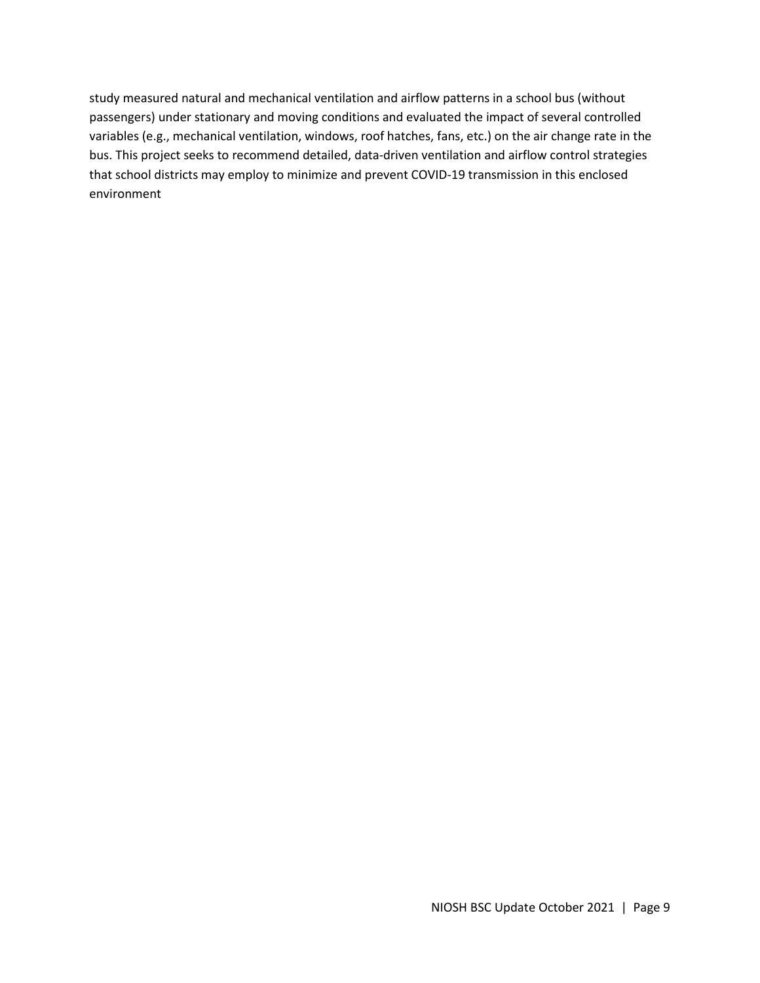study measured natural and mechanical ventilation and airflow patterns in a school bus (without passengers) under stationary and moving conditions and evaluated the impact of several controlled variables (e.g., mechanical ventilation, windows, roof hatches, fans, etc.) on the air change rate in the bus. This project seeks to recommend detailed, data-driven ventilation and airflow control strategies that school districts may employ to minimize and prevent COVID-19 transmission in this enclosed environment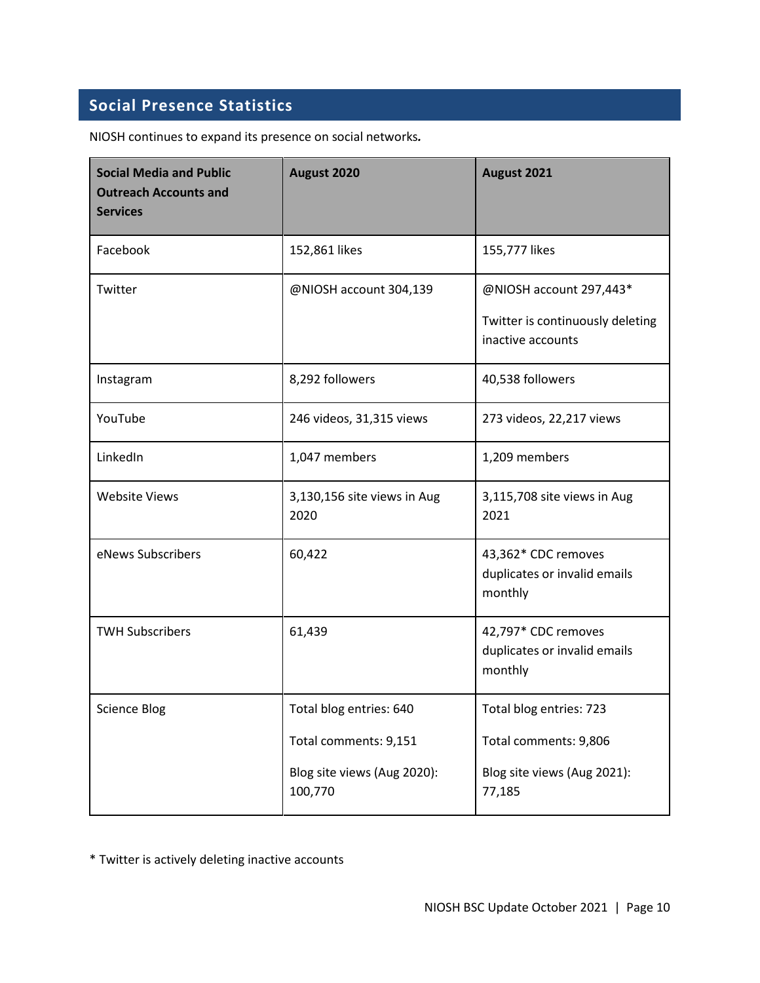# **Social Presence Statistics**

NIOSH continues to expand its presence on social networks*.* 

| <b>Social Media and Public</b><br><b>Outreach Accounts and</b><br><b>Services</b> | August 2020                            | August 2021                                                    |
|-----------------------------------------------------------------------------------|----------------------------------------|----------------------------------------------------------------|
| Facebook                                                                          | 152,861 likes                          | 155,777 likes                                                  |
| Twitter                                                                           | @NIOSH account 304,139                 | @NIOSH account 297,443*                                        |
|                                                                                   |                                        | Twitter is continuously deleting<br>inactive accounts          |
| Instagram                                                                         | 8,292 followers                        | 40,538 followers                                               |
| YouTube                                                                           | 246 videos, 31,315 views               | 273 videos, 22,217 views                                       |
| LinkedIn                                                                          | 1,047 members                          | 1,209 members                                                  |
| <b>Website Views</b>                                                              | 3,130,156 site views in Aug<br>2020    | 3,115,708 site views in Aug<br>2021                            |
| eNews Subscribers                                                                 | 60,422                                 | 43,362* CDC removes<br>duplicates or invalid emails<br>monthly |
| <b>TWH Subscribers</b>                                                            | 61,439                                 | 42,797* CDC removes<br>duplicates or invalid emails<br>monthly |
| <b>Science Blog</b>                                                               | Total blog entries: 640                | Total blog entries: 723                                        |
|                                                                                   | Total comments: 9,151                  | Total comments: 9,806                                          |
|                                                                                   | Blog site views (Aug 2020):<br>100,770 | Blog site views (Aug 2021):<br>77,185                          |

\* Twitter is actively deleting inactive accounts